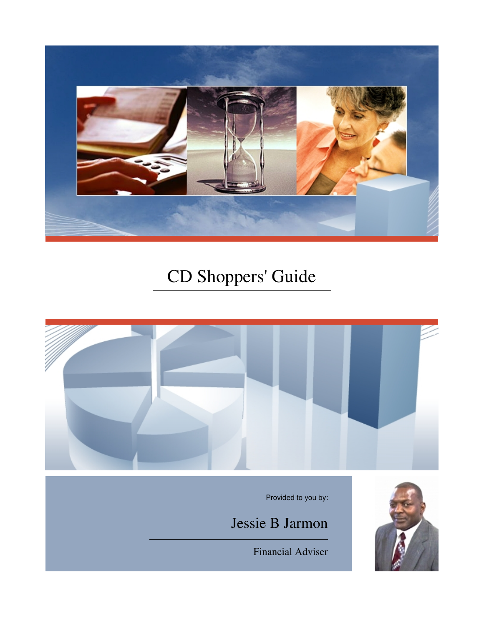

# CD Shoppers' Guide



Jessie B Jarmon

Financial Adviser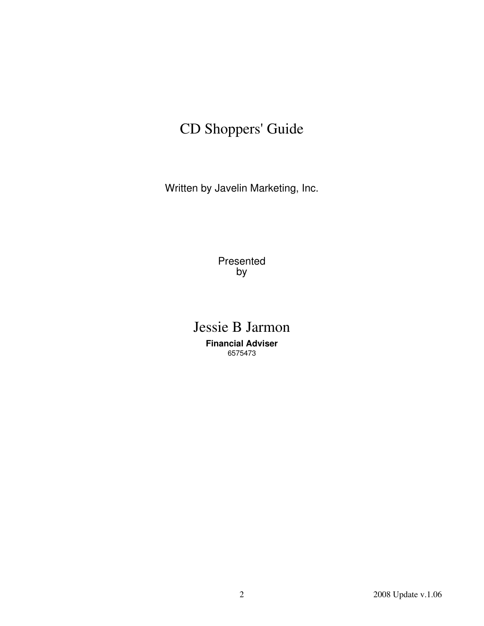## CD Shoppers' Guide

Written by Javelin Marketing, Inc.

Presented by

Jessie B Jarmon **Financial Adviser** 6575473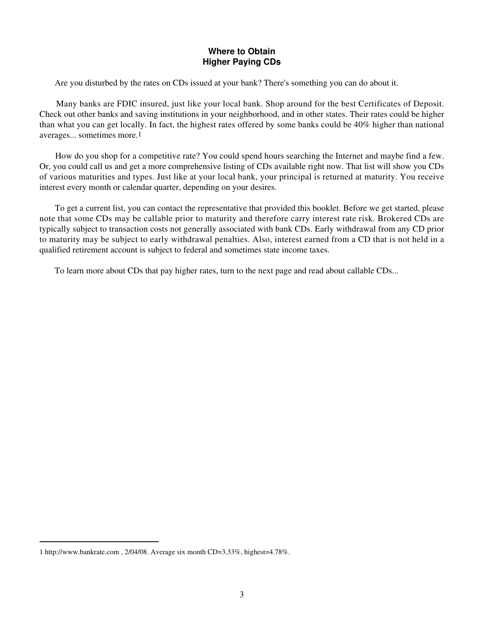## **Where to Obtain Higher Paying CDs**

Are you disturbed by the rates on CDs issued at your bank? There's something you can do about it.

 Many banks are FDIC insured, just like your local bank. Shop around for the best Certificates of Deposit. Check out other banks and saving institutions in your neighborhood, and in other states. Their rates could be higher than what you can get locally. In fact, the highest rates offered by some banks could be 40% higher than national averages... sometimes more.1

 How do you shop for a competitive rate? You could spend hours searching the Internet and maybe find a few. Or, you could call us and get a more comprehensive listing of CDs available right now. That list will show you CDs of various maturities and types. Just like at your local bank, your principal is returned at maturity. You receive interest every month or calendar quarter, depending on your desires.

 To get a current list, you can contact the representative that provided this booklet. Before we get started, please note that some CDs may be callable prior to maturity and therefore carry interest rate risk. Brokered CDs are typically subject to transaction costs not generally associated with bank CDs. Early withdrawal from any CD prior to maturity may be subject to early withdrawal penalties. Also, interest earned from a CD that is not held in a qualified retirement account is subject to federal and sometimes state income taxes.

To learn more about CDs that pay higher rates, turn to the next page and read about callable CDs...

<sup>1</sup> http://www.bankrate.com , 2/04/08. Average six month CD=3.33%, highest=4.78%.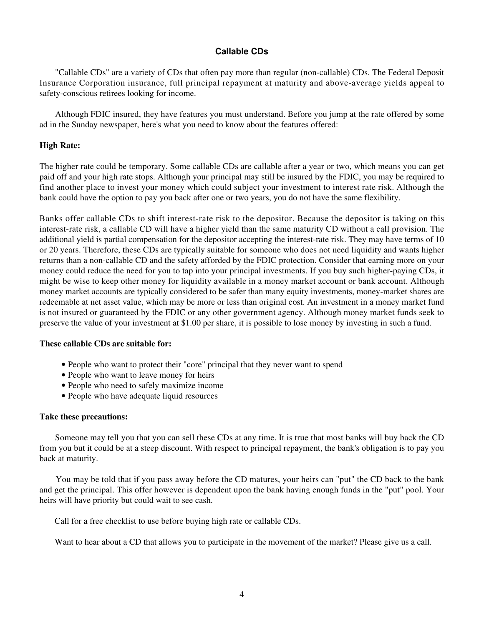## **Callable CDs**

 "Callable CDs" are a variety of CDs that often pay more than regular (non-callable) CDs. The Federal Deposit Insurance Corporation insurance, full principal repayment at maturity and above-average yields appeal to safety-conscious retirees looking for income.

 Although FDIC insured, they have features you must understand. Before you jump at the rate offered by some ad in the Sunday newspaper, here's what you need to know about the features offered:

## **High Rate:**

The higher rate could be temporary. Some callable CDs are callable after a year or two, which means you can get paid off and your high rate stops. Although your principal may still be insured by the FDIC, you may be required to find another place to invest your money which could subject your investment to interest rate risk. Although the bank could have the option to pay you back after one or two years, you do not have the same flexibility.

Banks offer callable CDs to shift interest-rate risk to the depositor. Because the depositor is taking on this interest-rate risk, a callable CD will have a higher yield than the same maturity CD without a call provision. The additional yield is partial compensation for the depositor accepting the interest-rate risk. They may have terms of 10 or 20 years. Therefore, these CDs are typically suitable for someone who does not need liquidity and wants higher returns than a non-callable CD and the safety afforded by the FDIC protection. Consider that earning more on your money could reduce the need for you to tap into your principal investments. If you buy such higher-paying CDs, it might be wise to keep other money for liquidity available in a money market account or bank account. Although money market accounts are typically considered to be safer than many equity investments, money-market shares are redeemable at net asset value, which may be more or less than original cost. An investment in a money market fund is not insured or guaranteed by the FDIC or any other government agency. Although money market funds seek to preserve the value of your investment at \$1.00 per share, it is possible to lose money by investing in such a fund.

#### **These callable CDs are suitable for:**

- People who want to protect their "core" principal that they never want to spend
- People who want to leave money for heirs
- People who need to safely maximize income
- People who have adequate liquid resources

#### **Take these precautions:**

 Someone may tell you that you can sell these CDs at any time. It is true that most banks will buy back the CD from you but it could be at a steep discount. With respect to principal repayment, the bank's obligation is to pay you back at maturity.

 You may be told that if you pass away before the CD matures, your heirs can "put" the CD back to the bank and get the principal. This offer however is dependent upon the bank having enough funds in the "put" pool. Your heirs will have priority but could wait to see cash.

Call for a free checklist to use before buying high rate or callable CDs.

Want to hear about a CD that allows you to participate in the movement of the market? Please give us a call.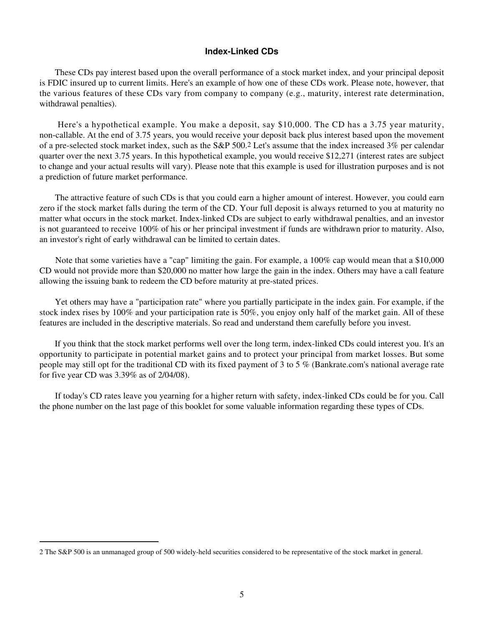### **Index-Linked CDs**

 These CDs pay interest based upon the overall performance of a stock market index, and your principal deposit is FDIC insured up to current limits. Here's an example of how one of these CDs work. Please note, however, that the various features of these CDs vary from company to company (e.g., maturity, interest rate determination, withdrawal penalties).

 Here's a hypothetical example. You make a deposit, say \$10,000. The CD has a 3.75 year maturity, non-callable. At the end of 3.75 years, you would receive your deposit back plus interest based upon the movement of a pre-selected stock market index, such as the S&P 500.2 Let's assume that the index increased 3% per calendar quarter over the next 3.75 years. In this hypothetical example, you would receive \$12,271 (interest rates are subject to change and your actual results will vary). Please note that this example is used for illustration purposes and is not a prediction of future market performance.

 The attractive feature of such CDs is that you could earn a higher amount of interest. However, you could earn zero if the stock market falls during the term of the CD. Your full deposit is always returned to you at maturity no matter what occurs in the stock market. Index-linked CDs are subject to early withdrawal penalties, and an investor is not guaranteed to receive 100% of his or her principal investment if funds are withdrawn prior to maturity. Also, an investor's right of early withdrawal can be limited to certain dates.

 Note that some varieties have a "cap" limiting the gain. For example, a 100% cap would mean that a \$10,000 CD would not provide more than \$20,000 no matter how large the gain in the index. Others may have a call feature allowing the issuing bank to redeem the CD before maturity at pre-stated prices.

 Yet others may have a "participation rate" where you partially participate in the index gain. For example, if the stock index rises by 100% and your participation rate is 50%, you enjoy only half of the market gain. All of these features are included in the descriptive materials. So read and understand them carefully before you invest.

 If you think that the stock market performs well over the long term, index-linked CDs could interest you. It's an opportunity to participate in potential market gains and to protect your principal from market losses. But some people may still opt for the traditional CD with its fixed payment of 3 to 5 % (Bankrate.com's national average rate for five year CD was 3.39% as of 2/04/08).

 If today's CD rates leave you yearning for a higher return with safety, index-linked CDs could be for you. Call the phone number on the last page of this booklet for some valuable information regarding these types of CDs.

<sup>2</sup> The S&P 500 is an unmanaged group of 500 widely-held securities considered to be representative of the stock market in general.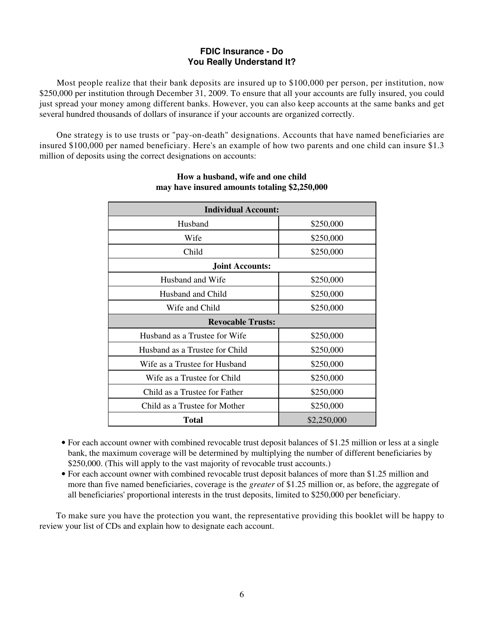## **FDIC Insurance - Do You Really Understand It?**

 Most people realize that their bank deposits are insured up to \$100,000 per person, per institution, now \$250,000 per institution through December 31, 2009. To ensure that all your accounts are fully insured, you could just spread your money among different banks. However, you can also keep accounts at the same banks and get several hundred thousands of dollars of insurance if your accounts are organized correctly.

 One strategy is to use trusts or "pay-on-death" designations. Accounts that have named beneficiaries are insured \$100,000 per named beneficiary. Here's an example of how two parents and one child can insure \$1.3 million of deposits using the correct designations on accounts:

| <b>Individual Account:</b>     |             |
|--------------------------------|-------------|
| Husband                        | \$250,000   |
| Wife                           | \$250,000   |
| Child                          | \$250,000   |
| <b>Joint Accounts:</b>         |             |
| Husband and Wife               | \$250,000   |
| Husband and Child              | \$250,000   |
| Wife and Child                 | \$250,000   |
| <b>Revocable Trusts:</b>       |             |
| Husband as a Trustee for Wife  | \$250,000   |
| Husband as a Trustee for Child | \$250,000   |
| Wife as a Trustee for Husband  | \$250,000   |
| Wife as a Trustee for Child    | \$250,000   |
| Child as a Trustee for Father  | \$250,000   |
| Child as a Trustee for Mother  | \$250,000   |
| Total                          | \$2,250,000 |

## **How a husband, wife and one child may have insured amounts totaling \$2,250,000**

- For each account owner with combined revocable trust deposit balances of \$1.25 million or less at a single bank, the maximum coverage will be determined by multiplying the number of different beneficiaries by \$250,000. (This will apply to the vast majority of revocable trust accounts.)
- For each account owner with combined revocable trust deposit balances of more than \$1.25 million and more than five named beneficiaries, coverage is the *greater* of \$1.25 million or, as before, the aggregate of all beneficiaries' proportional interests in the trust deposits, limited to \$250,000 per beneficiary.

 To make sure you have the protection you want, the representative providing this booklet will be happy to review your list of CDs and explain how to designate each account.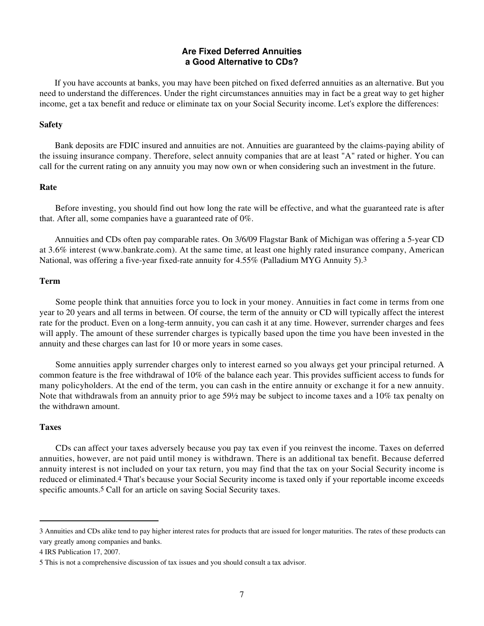## **Are Fixed Deferred Annuities a Good Alternative to CDs?**

 If you have accounts at banks, you may have been pitched on fixed deferred annuities as an alternative. But you need to understand the differences. Under the right circumstances annuities may in fact be a great way to get higher income, get a tax benefit and reduce or eliminate tax on your Social Security income. Let's explore the differences:

#### **Safety**

 Bank deposits are FDIC insured and annuities are not. Annuities are guaranteed by the claims-paying ability of the issuing insurance company. Therefore, select annuity companies that are at least "A" rated or higher. You can call for the current rating on any annuity you may now own or when considering such an investment in the future.

#### **Rate**

 Before investing, you should find out how long the rate will be effective, and what the guaranteed rate is after that. After all, some companies have a guaranteed rate of 0%.

 Annuities and CDs often pay comparable rates. On 3/6/09 Flagstar Bank of Michigan was offering a 5-year CD at 3.6% interest (www.bankrate.com). At the same time, at least one highly rated insurance company, American National, was offering a five-year fixed-rate annuity for 4.55% (Palladium MYG Annuity 5).3

#### **Term**

 Some people think that annuities force you to lock in your money. Annuities in fact come in terms from one year to 20 years and all terms in between. Of course, the term of the annuity or CD will typically affect the interest rate for the product. Even on a long-term annuity, you can cash it at any time. However, surrender charges and fees will apply. The amount of these surrender charges is typically based upon the time you have been invested in the annuity and these charges can last for 10 or more years in some cases.

 Some annuities apply surrender charges only to interest earned so you always get your principal returned. A common feature is the free withdrawal of 10% of the balance each year. This provides sufficient access to funds for many policyholders. At the end of the term, you can cash in the entire annuity or exchange it for a new annuity. Note that withdrawals from an annuity prior to age 59½ may be subject to income taxes and a 10% tax penalty on the withdrawn amount.

#### **Taxes**

 CDs can affect your taxes adversely because you pay tax even if you reinvest the income. Taxes on deferred annuities, however, are not paid until money is withdrawn. There is an additional tax benefit. Because deferred annuity interest is not included on your tax return, you may find that the tax on your Social Security income is reduced or eliminated.4 That's because your Social Security income is taxed only if your reportable income exceeds specific amounts.<sup>5</sup> Call for an article on saving Social Security taxes.

<sup>3</sup> Annuities and CDs alike tend to pay higher interest rates for products that are issued for longer maturities. The rates of these products can vary greatly among companies and banks.

<sup>4</sup> IRS Publication 17, 2007.

<sup>5</sup> This is not a comprehensive discussion of tax issues and you should consult a tax advisor.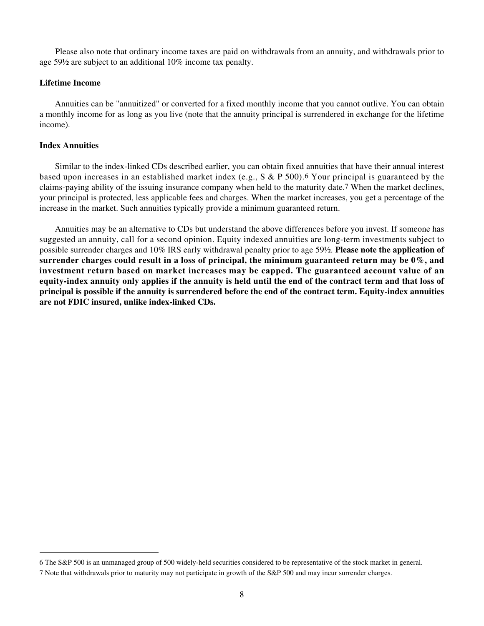Please also note that ordinary income taxes are paid on withdrawals from an annuity, and withdrawals prior to age 59½ are subject to an additional 10% income tax penalty.

#### **Lifetime Income**

 Annuities can be "annuitized" or converted for a fixed monthly income that you cannot outlive. You can obtain a monthly income for as long as you live (note that the annuity principal is surrendered in exchange for the lifetime income).

## **Index Annuities**

 Similar to the index-linked CDs described earlier, you can obtain fixed annuities that have their annual interest based upon increases in an established market index (e.g., S & P 500).6 Your principal is guaranteed by the claims-paying ability of the issuing insurance company when held to the maturity date.7 When the market declines, your principal is protected, less applicable fees and charges. When the market increases, you get a percentage of the increase in the market. Such annuities typically provide a minimum guaranteed return.

 Annuities may be an alternative to CDs but understand the above differences before you invest. If someone has suggested an annuity, call for a second opinion. Equity indexed annuities are long-term investments subject to possible surrender charges and 10% IRS early withdrawal penalty prior to age 59½. **Please note the application of surrender charges could result in a loss of principal, the minimum guaranteed return may be 0%, and investment return based on market increases may be capped. The guaranteed account value of an equity-index annuity only applies if the annuity is held until the end of the contract term and that loss of principal is possible if the annuity is surrendered before the end of the contract term. Equity-index annuities are not FDIC insured, unlike index-linked CDs.**

<sup>6</sup> The S&P 500 is an unmanaged group of 500 widely-held securities considered to be representative of the stock market in general.

<sup>7</sup> Note that withdrawals prior to maturity may not participate in growth of the S&P 500 and may incur surrender charges.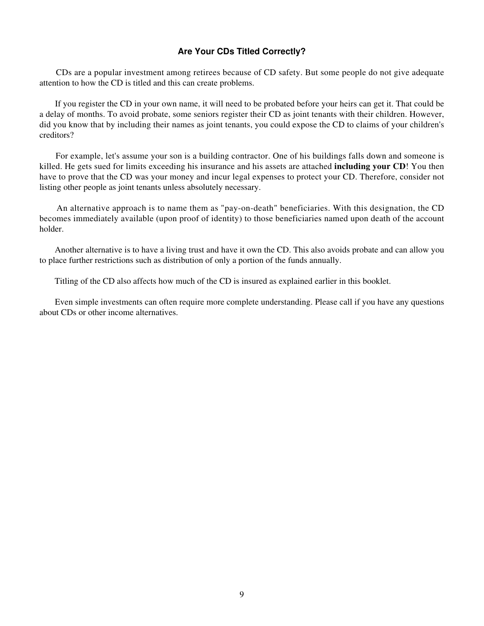## **Are Your CDs Titled Correctly?**

 CDs are a popular investment among retirees because of CD safety. But some people do not give adequate attention to how the CD is titled and this can create problems.

 If you register the CD in your own name, it will need to be probated before your heirs can get it. That could be a delay of months. To avoid probate, some seniors register their CD as joint tenants with their children. However, did you know that by including their names as joint tenants, you could expose the CD to claims of your children's creditors?

 For example, let's assume your son is a building contractor. One of his buildings falls down and someone is killed. He gets sued for limits exceeding his insurance and his assets are attached **including your CD**! You then have to prove that the CD was your money and incur legal expenses to protect your CD. Therefore, consider not listing other people as joint tenants unless absolutely necessary.

 An alternative approach is to name them as "pay-on-death" beneficiaries. With this designation, the CD becomes immediately available (upon proof of identity) to those beneficiaries named upon death of the account holder.

 Another alternative is to have a living trust and have it own the CD. This also avoids probate and can allow you to place further restrictions such as distribution of only a portion of the funds annually.

Titling of the CD also affects how much of the CD is insured as explained earlier in this booklet.

 Even simple investments can often require more complete understanding. Please call if you have any questions about CDs or other income alternatives.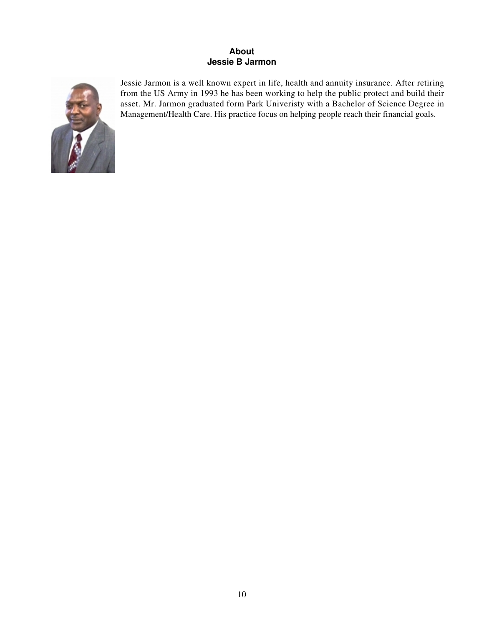## **About Jessie B Jarmon**



Jessie Jarmon is a well known expert in life, health and annuity insurance. After retiring from the US Army in 1993 he has been working to help the public protect and build their asset. Mr. Jarmon graduated form Park Univeristy with a Bachelor of Science Degree in Management/Health Care. His practice focus on helping people reach their financial goals.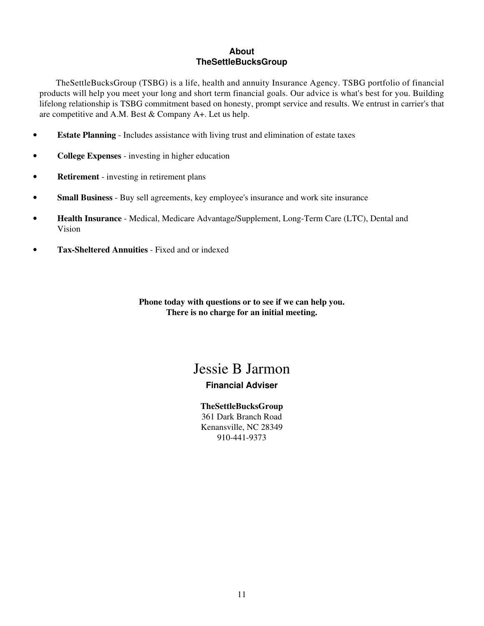## **About TheSettleBucksGroup**

 TheSettleBucksGroup (TSBG) is a life, health and annuity Insurance Agency. TSBG portfolio of financial products will help you meet your long and short term financial goals. Our advice is what's best for you. Building lifelong relationship is TSBG commitment based on honesty, prompt service and results. We entrust in carrier's that are competitive and A.M. Best & Company A+. Let us help.

- **Estate Planning** Includes assistance with living trust and elimination of estate taxes
- **College Expenses** investing in higher education
- **Retirement** investing in retirement plans
- **Small Business** Buy sell agreements, key employee's insurance and work site insurance
- **Health Insurance** Medical, Medicare Advantage/Supplement, Long-Term Care (LTC), Dental and Vision
- **Tax-Sheltered Annuities** Fixed and or indexed

**Phone today with questions or to see if we can help you. There is no charge for an initial meeting.**

## Jessie B Jarmon

## **Financial Adviser**

**TheSettleBucksGroup** 361 Dark Branch Road Kenansville, NC 28349 910-441-9373